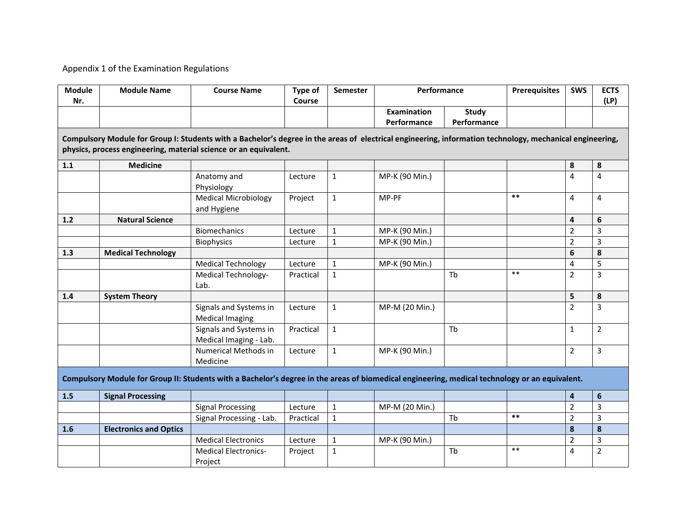## Appendix 1 of the Examination Regulations

| <b>Module</b><br>Nr.                                                                                                                                     | <b>Module Name</b>            | <b>Course Name</b>          | Type of<br>Course | Semester     | Performance        |              | <b>Prerequisites</b> | <b>SWS</b>     | <b>ECTS</b><br>(LP) |  |  |  |
|----------------------------------------------------------------------------------------------------------------------------------------------------------|-------------------------------|-----------------------------|-------------------|--------------|--------------------|--------------|----------------------|----------------|---------------------|--|--|--|
|                                                                                                                                                          |                               |                             |                   |              | <b>Examination</b> | <b>Study</b> |                      |                |                     |  |  |  |
|                                                                                                                                                          |                               |                             |                   |              | Performance        | Performance  |                      |                |                     |  |  |  |
| Compulsory Module for Group I: Students with a Bachelor's degree in the areas of electrical engineering, information technology, mechanical engineering, |                               |                             |                   |              |                    |              |                      |                |                     |  |  |  |
| physics, process engineering, material science or an equivalent.                                                                                         |                               |                             |                   |              |                    |              |                      |                |                     |  |  |  |
| 1.1                                                                                                                                                      | <b>Medicine</b>               |                             |                   |              |                    |              |                      | 8              | 8                   |  |  |  |
|                                                                                                                                                          |                               | Anatomy and                 | Lecture           | $\mathbf{1}$ | MP-K (90 Min.)     |              |                      | 4              | 4                   |  |  |  |
|                                                                                                                                                          |                               | Physiology                  |                   |              |                    |              |                      |                |                     |  |  |  |
|                                                                                                                                                          |                               | <b>Medical Microbiology</b> | Project           | $\mathbf{1}$ | MP-PF              |              | $***$                | 4              | 4                   |  |  |  |
|                                                                                                                                                          |                               | and Hygiene                 |                   |              |                    |              |                      |                |                     |  |  |  |
| $1.2$                                                                                                                                                    | <b>Natural Science</b>        |                             |                   |              |                    |              |                      | 4              | 6                   |  |  |  |
|                                                                                                                                                          |                               | <b>Biomechanics</b>         | Lecture           | $\mathbf{1}$ | MP-K (90 Min.)     |              |                      | $\overline{2}$ | 3                   |  |  |  |
|                                                                                                                                                          |                               | <b>Biophysics</b>           | Lecture           | $\mathbf{1}$ | MP-K (90 Min.)     |              |                      | $\overline{2}$ | $\overline{3}$      |  |  |  |
| 1.3                                                                                                                                                      | <b>Medical Technology</b>     |                             |                   |              |                    |              |                      | 6              | 8                   |  |  |  |
|                                                                                                                                                          |                               | <b>Medical Technology</b>   | Lecture           | $\mathbf{1}$ | MP-K (90 Min.)     |              |                      | 4              | 5                   |  |  |  |
|                                                                                                                                                          |                               | Medical Technology-         | Practical         | $\mathbf{1}$ |                    | Tb           | $***$                | $\overline{2}$ | $\overline{3}$      |  |  |  |
|                                                                                                                                                          |                               | Lab.                        |                   |              |                    |              |                      |                |                     |  |  |  |
| 1.4                                                                                                                                                      | <b>System Theory</b>          |                             |                   |              |                    |              |                      | 5              | 8                   |  |  |  |
|                                                                                                                                                          |                               | Signals and Systems in      | Lecture           | $\mathbf{1}$ | MP-M (20 Min.)     |              |                      | $\overline{2}$ | 3                   |  |  |  |
|                                                                                                                                                          |                               | <b>Medical Imaging</b>      |                   |              |                    |              |                      |                |                     |  |  |  |
|                                                                                                                                                          |                               | Signals and Systems in      | Practical         | $\mathbf{1}$ |                    | Tb           |                      | $\mathbf{1}$   | $\overline{2}$      |  |  |  |
|                                                                                                                                                          |                               | Medical Imaging - Lab.      |                   |              |                    |              |                      |                |                     |  |  |  |
|                                                                                                                                                          |                               | Numerical Methods in        | Lecture           | $\mathbf{1}$ | MP-K (90 Min.)     |              |                      | $\overline{2}$ | 3                   |  |  |  |
|                                                                                                                                                          |                               | Medicine                    |                   |              |                    |              |                      |                |                     |  |  |  |
| Compulsory Module for Group II: Students with a Bachelor's degree in the areas of biomedical engineering, medical technology or an equivalent.           |                               |                             |                   |              |                    |              |                      |                |                     |  |  |  |
| 1.5                                                                                                                                                      | <b>Signal Processing</b>      |                             |                   |              |                    |              |                      | $\overline{4}$ | $\boldsymbol{6}$    |  |  |  |
|                                                                                                                                                          |                               | <b>Signal Processing</b>    | Lecture           | $\mathbf{1}$ | MP-M (20 Min.)     |              |                      | $\overline{2}$ | $\overline{3}$      |  |  |  |
|                                                                                                                                                          |                               | Signal Processing - Lab.    | Practical         | $\mathbf{1}$ |                    | Tb           | $***$                | $\overline{2}$ | $\overline{3}$      |  |  |  |
| 1.6                                                                                                                                                      | <b>Electronics and Optics</b> |                             |                   |              |                    |              |                      | 8              | 8                   |  |  |  |
|                                                                                                                                                          |                               | <b>Medical Electronics</b>  | Lecture           | $\mathbf{1}$ | MP-K (90 Min.)     |              |                      | $\overline{2}$ | 3                   |  |  |  |
|                                                                                                                                                          |                               | <b>Medical Electronics-</b> | Project           | $\mathbf 1$  |                    | Tb           | $***$                | 4              | $\overline{2}$      |  |  |  |
|                                                                                                                                                          |                               | Project                     |                   |              |                    |              |                      |                |                     |  |  |  |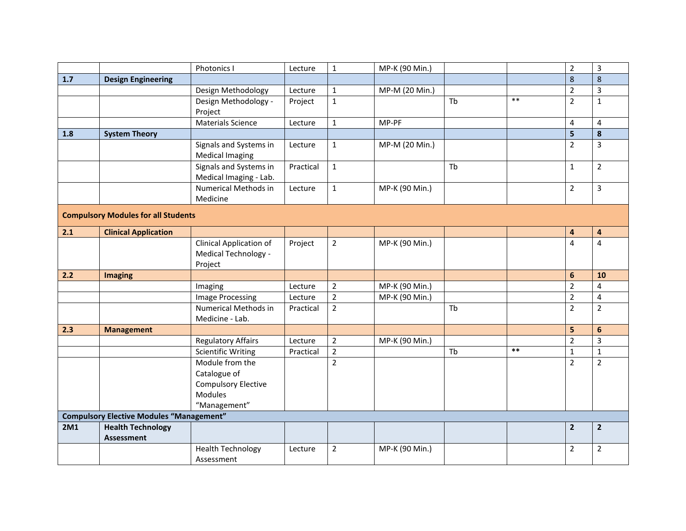|                                                 |                             | Photonics I                            | Lecture   | $\mathbf{1}$   | MP-K (90 Min.) |    |       | $\overline{2}$ | $\overline{3}$          |  |  |
|-------------------------------------------------|-----------------------------|----------------------------------------|-----------|----------------|----------------|----|-------|----------------|-------------------------|--|--|
| $1.7$                                           | <b>Design Engineering</b>   |                                        |           |                |                |    |       | 8              | $\bf 8$                 |  |  |
|                                                 |                             | Design Methodology                     | Lecture   | $\mathbf 1$    | MP-M (20 Min.) |    |       | $\overline{2}$ | $\overline{3}$          |  |  |
|                                                 |                             | Design Methodology -                   | Project   | $\mathbf 1$    |                | Tb | $***$ | $\overline{2}$ | $\mathbf{1}$            |  |  |
|                                                 |                             | Project                                |           |                |                |    |       |                |                         |  |  |
|                                                 |                             | <b>Materials Science</b>               | Lecture   | $\mathbf{1}$   | MP-PF          |    |       | 4              | $\overline{\mathbf{4}}$ |  |  |
| 1.8                                             | <b>System Theory</b>        |                                        |           |                |                |    |       | 5              | 8                       |  |  |
|                                                 |                             | Signals and Systems in                 | Lecture   | $\mathbf{1}$   | MP-M (20 Min.) |    |       | $\overline{2}$ | $\overline{3}$          |  |  |
|                                                 |                             | <b>Medical Imaging</b>                 |           |                |                |    |       |                |                         |  |  |
|                                                 |                             | Signals and Systems in                 | Practical | $\mathbf{1}$   |                | Tb |       | $\mathbf{1}$   | $\overline{2}$          |  |  |
|                                                 |                             | Medical Imaging - Lab.                 |           |                |                |    |       |                |                         |  |  |
|                                                 |                             | Numerical Methods in                   | Lecture   | $\mathbf 1$    | MP-K (90 Min.) |    |       | $\overline{2}$ | $\overline{\mathbf{3}}$ |  |  |
|                                                 |                             | Medicine                               |           |                |                |    |       |                |                         |  |  |
| <b>Compulsory Modules for all Students</b>      |                             |                                        |           |                |                |    |       |                |                         |  |  |
| 2.1                                             | <b>Clinical Application</b> |                                        |           |                |                |    |       | 4              | $\overline{\mathbf{a}}$ |  |  |
|                                                 |                             | Clinical Application of                | Project   | $\overline{2}$ | MP-K (90 Min.) |    |       | $\overline{4}$ | $\overline{4}$          |  |  |
|                                                 |                             | Medical Technology -                   |           |                |                |    |       |                |                         |  |  |
|                                                 |                             | Project                                |           |                |                |    |       |                |                         |  |  |
| 2.2                                             | <b>Imaging</b>              |                                        |           |                |                |    |       | 6              | 10                      |  |  |
|                                                 |                             | Imaging                                | Lecture   | $\overline{2}$ | MP-K (90 Min.) |    |       | $\overline{2}$ | 4                       |  |  |
|                                                 |                             | <b>Image Processing</b>                | Lecture   | $\overline{2}$ | MP-K (90 Min.) |    |       | $\overline{2}$ | $\overline{4}$          |  |  |
|                                                 |                             | <b>Numerical Methods in</b>            | Practical | $\overline{2}$ |                | Tb |       | $\overline{2}$ | $\overline{2}$          |  |  |
|                                                 |                             | Medicine - Lab.                        |           |                |                |    |       |                |                         |  |  |
| 2.3                                             | <b>Management</b>           |                                        |           |                |                |    |       | 5              | 6                       |  |  |
|                                                 |                             | <b>Regulatory Affairs</b>              | Lecture   | $\overline{2}$ | MP-K (90 Min.) |    |       | $\overline{2}$ | $\overline{3}$          |  |  |
|                                                 |                             | <b>Scientific Writing</b>              | Practical | $\overline{2}$ |                | Tb | $***$ | $\mathbf 1$    | $\mathbf{1}$            |  |  |
|                                                 |                             | Module from the                        |           | $\overline{2}$ |                |    |       | $\overline{2}$ | $\overline{2}$          |  |  |
|                                                 |                             | Catalogue of                           |           |                |                |    |       |                |                         |  |  |
|                                                 |                             | <b>Compulsory Elective</b>             |           |                |                |    |       |                |                         |  |  |
|                                                 |                             | <b>Modules</b>                         |           |                |                |    |       |                |                         |  |  |
|                                                 |                             | "Management"                           |           |                |                |    |       |                |                         |  |  |
| <b>Compulsory Elective Modules "Management"</b> |                             |                                        |           |                |                |    |       |                |                         |  |  |
| <b>2M1</b>                                      |                             |                                        |           |                |                |    |       |                |                         |  |  |
|                                                 | <b>Health Technology</b>    |                                        |           |                |                |    |       | $\overline{2}$ | $\overline{2}$          |  |  |
|                                                 | <b>Assessment</b>           |                                        |           |                |                |    |       |                |                         |  |  |
|                                                 |                             | <b>Health Technology</b><br>Assessment | Lecture   | $\overline{2}$ | MP-K (90 Min.) |    |       | $\overline{2}$ | $\overline{2}$          |  |  |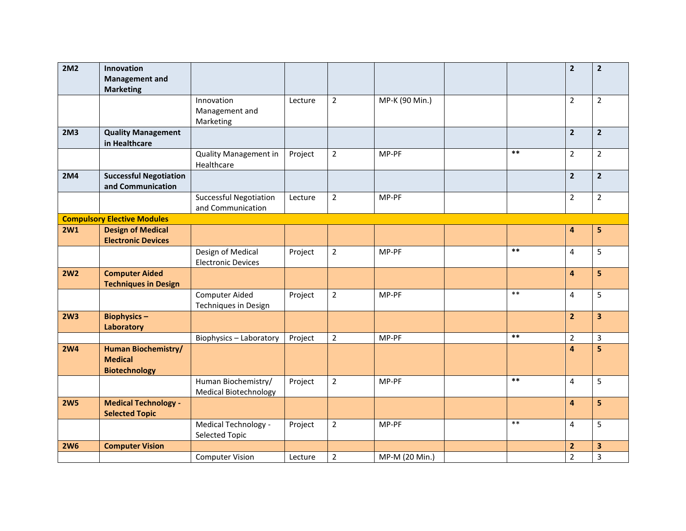| <b>2M2</b>      | Innovation                         |                               |         |                |                |       | $\overline{2}$          | $\overline{2}$ |
|-----------------|------------------------------------|-------------------------------|---------|----------------|----------------|-------|-------------------------|----------------|
|                 | <b>Management and</b>              |                               |         |                |                |       |                         |                |
|                 | <b>Marketing</b>                   |                               |         |                |                |       |                         |                |
|                 |                                    | Innovation                    | Lecture | $\overline{2}$ | MP-K (90 Min.) |       | $\overline{2}$          | $\overline{2}$ |
|                 |                                    | Management and                |         |                |                |       |                         |                |
|                 |                                    | Marketing                     |         |                |                |       |                         |                |
| 2M <sub>3</sub> | <b>Quality Management</b>          |                               |         |                |                |       | $\overline{2}$          | $\overline{2}$ |
|                 | in Healthcare                      |                               |         |                |                |       |                         |                |
|                 |                                    | <b>Quality Management in</b>  | Project | $\overline{2}$ | MP-PF          | $***$ | $\overline{2}$          | $\overline{2}$ |
|                 |                                    | Healthcare                    |         |                |                |       |                         |                |
| <b>2M4</b>      | <b>Successful Negotiation</b>      |                               |         |                |                |       | $\overline{2}$          | $\mathbf{2}$   |
|                 | and Communication                  |                               |         |                |                |       |                         |                |
|                 |                                    | <b>Successful Negotiation</b> | Lecture | $\overline{2}$ | MP-PF          |       | $\overline{2}$          | $\overline{2}$ |
|                 |                                    | and Communication             |         |                |                |       |                         |                |
|                 | <b>Compulsory Elective Modules</b> |                               |         |                |                |       |                         |                |
| <b>2W1</b>      | <b>Design of Medical</b>           |                               |         |                |                |       | $\overline{\mathbf{4}}$ | 5              |
|                 | <b>Electronic Devices</b>          |                               |         |                |                |       |                         |                |
|                 |                                    | Design of Medical             | Project | $\overline{2}$ | MP-PF          | $***$ | 4                       | 5              |
|                 |                                    | <b>Electronic Devices</b>     |         |                |                |       |                         |                |
| <b>2W2</b>      | <b>Computer Aided</b>              |                               |         |                |                |       | $\overline{\mathbf{4}}$ | 5              |
|                 | <b>Techniques in Design</b>        |                               |         |                |                |       |                         |                |
|                 |                                    | Computer Aided                | Project | $\overline{2}$ | MP-PF          | $***$ | 4                       | 5              |
|                 |                                    | Techniques in Design          |         |                |                |       |                         |                |
| 2W <sub>3</sub> | <b>Biophysics-</b>                 |                               |         |                |                |       | $\overline{2}$          | 3              |
|                 | Laboratory                         |                               |         |                |                |       |                         |                |
|                 |                                    | Biophysics - Laboratory       | Project | $\overline{2}$ | MP-PF          | $***$ | $\overline{2}$          | 3              |
| <b>2W4</b>      | <b>Human Biochemistry/</b>         |                               |         |                |                |       | $\overline{a}$          | 5              |
|                 | <b>Medical</b>                     |                               |         |                |                |       |                         |                |
|                 | <b>Biotechnology</b>               |                               |         |                |                |       |                         |                |
|                 |                                    | Human Biochemistry/           | Project | $\overline{2}$ | MP-PF          | $***$ | 4                       | 5              |
|                 |                                    | <b>Medical Biotechnology</b>  |         |                |                |       |                         |                |
| <b>2W5</b>      | <b>Medical Technology -</b>        |                               |         |                |                |       | $\overline{4}$          | 5              |
|                 | <b>Selected Topic</b>              |                               |         |                |                |       |                         |                |
|                 |                                    | Medical Technology -          | Project | $\overline{2}$ | MP-PF          | $***$ | 4                       | 5              |
|                 |                                    | <b>Selected Topic</b>         |         |                |                |       |                         |                |
| <b>2W6</b>      | <b>Computer Vision</b>             |                               |         |                |                |       | $\overline{2}$          | 3              |
|                 |                                    | <b>Computer Vision</b>        | Lecture | $\overline{2}$ | MP-M (20 Min.) |       | $\overline{2}$          | 3              |